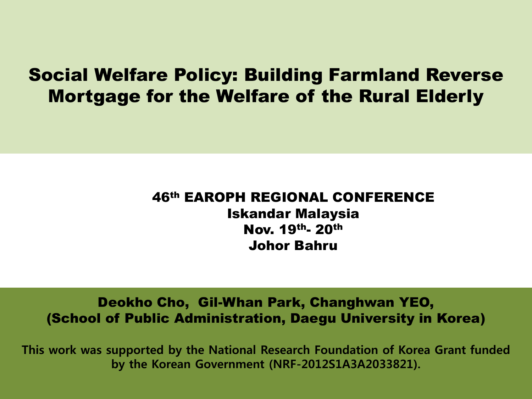### Social Welfare Policy: Building Farmland Reverse Mortgage for the Welfare of the Rural Elderly

#### 46th EAROPH REGIONAL CONFERENCE Iskandar Malaysia Nov. 19th- 20th Johor Bahru

#### Deokho Cho, Gil-Whan Park, Changhwan YEO, (School of Public Administration, Daegu University in Korea)

This work was supported by the National Research Foundation of Korea Grant funded by the Korean Government (NRF-2012S1A3A2033821).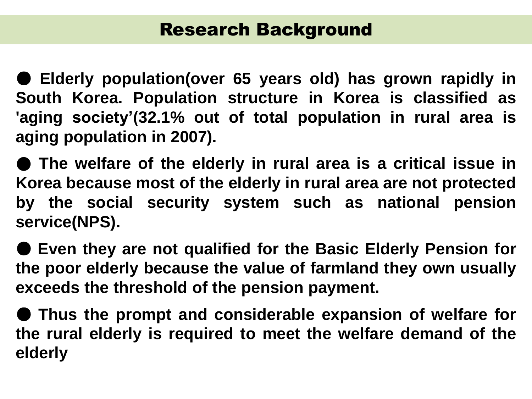● **Elderly population(over 65 years old) has grown rapidly in South Korea. Population structure in Korea is classified as 'aging society'(32.1% out of total population in rural area is aging population in 2007).**

● **The welfare of the elderly in rural area is a critical issue in Korea because most of the elderly in rural area are not protected by the social security system such as national pension service(NPS).**

● **Even they are not qualified for the Basic Elderly Pension for the poor elderly because the value of farmland they own usually exceeds the threshold of the pension payment.**

● **Thus the prompt and considerable expansion of welfare for the rural elderly is required to meet the welfare demand of the elderly**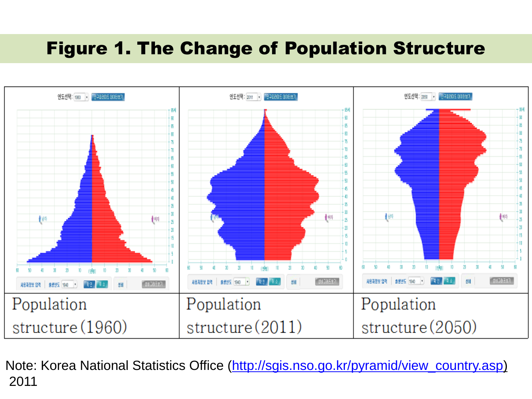## Figure 1. The Change of Population Structure



Note: Korea National Statistics Office ([http://sgis.nso.go.kr/pyramid/view\\_country.asp](http://sgis.nso.go.kr/pyramid/view_country.asp)) 2011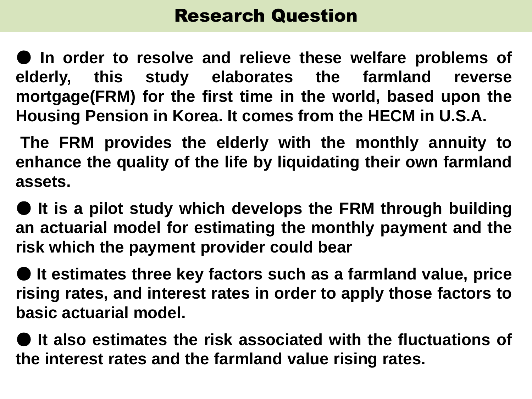● **In order to resolve and relieve these welfare problems of elderly, this study elaborates the farmland reverse mortgage(FRM) for the first time in the world, based upon the Housing Pension in Korea. It comes from the HECM in U.S.A.**

**The FRM provides the elderly with the monthly annuity to enhance the quality of the life by liquidating their own farmland assets.**

● **It is a pilot study which develops the FRM through building an actuarial model for estimating the monthly payment and the risk which the payment provider could bear**

● **It estimates three key factors such as a farmland value, price rising rates, and interest rates in order to apply those factors to basic actuarial model.**

● **It also estimates the risk associated with the fluctuations of the interest rates and the farmland value rising rates.**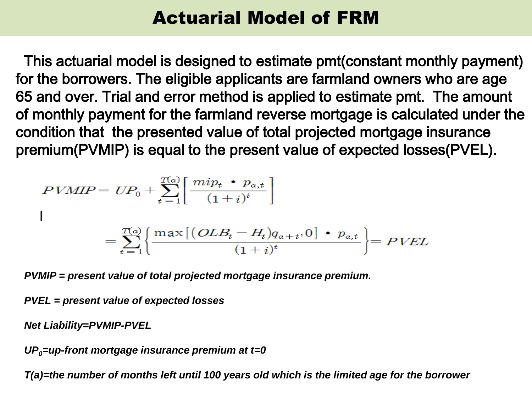# Actuarial Model of FRM

This actuarial model is designed to estimate pmt(constant monthly payment) for the borrowers. The eligible applicants are farmland owners who are age 65 and over. Trial and error method is applied to estimate pmt. The amount of monthly payment for the farmland reverse mortgage is calculated under the condition that the presented value of total projected mortgage insurance premium(PVMIP) is equal to the present value of expected losses(PVEL).

$$
PVMIP = UP_0 + \sum_{t=1}^{T(a)} \left[ \frac{mip_t \cdot p_{a,t}}{(1+i)^t} \right]
$$
  
\n
$$
= \sum_{t=1}^{T(a)} \left\{ \frac{\max \left[ (OLB_t - H_t)q_{a+t}, 0 \right] \cdot p_{a,t}}{(1+i)^t} \right\} = PVEL
$$

*PVMIP = present value of total projected mortgage insurance premium.*

*PVEL = present value of expected losses*

*Net Liability=PVMIP-PVEL*

*UP0=up-front mortgage insurance premium at t=0*

*T(a)=the number of months left until 100 years old which is the limited age for the borrower*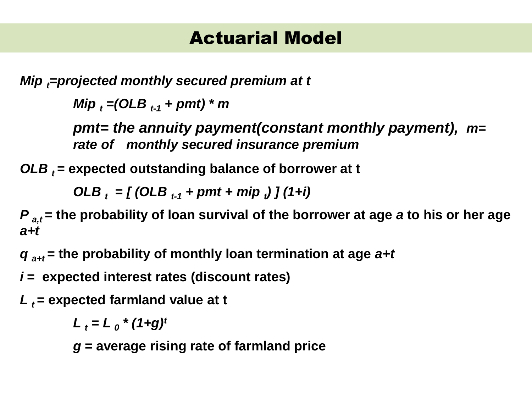*Mip =projected monthly secured premium at t* 

*Mip <sup>t</sup> =(OLB t-1 + pmt) \* m*

*pmt= the annuity payment(constant monthly payment), m= rate of monthly secured insurance premium*

*OLB t* **= expected outstanding balance of borrower at t** 

*OLB <sup>t</sup> = [ (OLB t-1 + pmt + mip <sup>t</sup> ) ] (1+i)*

*P*<sub>a,t</sub> = the probability of loan survival of the borrower at age *a* to his or her age *a+t*

*q a+t* **= the probability of monthly loan termination at age** *a+t*

*i* **= expected interest rates (discount rates)**

*L t* **= expected farmland value at t**

 $L_t = L_0$ <sup>\*</sup> (1+g)<sup>*t*</sup>

*g* **= average rising rate of farmland price**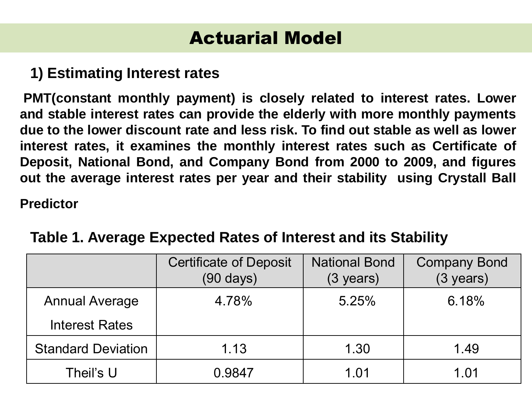### **1) Estimating Interest rates**

**PMT(constant monthly payment) is closely related to interest rates. Lower and stable interest rates can provide the elderly with more monthly payments due to the lower discount rate and less risk. To find out stable as well as lower interest rates, it examines the monthly interest rates such as Certificate of Deposit, National Bond, and Company Bond from 2000 to 2009, and figures out the average interest rates per year and their stability using Crystall Ball**

**Predictor**

|                           | <b>Certificate of Deposit</b><br>$(90 \text{ days})$ | <b>National Bond</b><br>(3 years) | <b>Company Bond</b><br>$(3 \text{ years})$ |
|---------------------------|------------------------------------------------------|-----------------------------------|--------------------------------------------|
| <b>Annual Average</b>     | 4.78%                                                | 5.25%                             | 6.18%                                      |
| <b>Interest Rates</b>     |                                                      |                                   |                                            |
| <b>Standard Deviation</b> | 1.13                                                 | 1.30                              | 1.49                                       |
| Theil's U                 | 0.9847                                               | 1.01                              | 1.01                                       |

### **Table 1. Average Expected Rates of Interest and its Stability**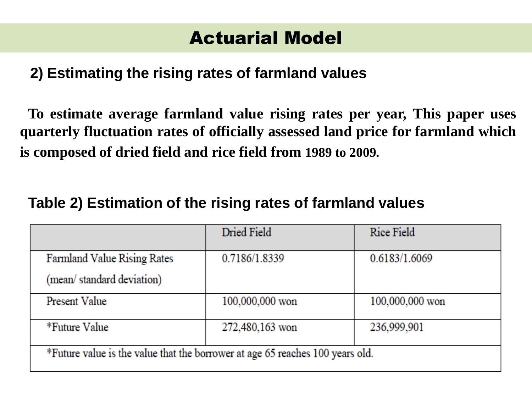### **2) Estimating the rising rates of farmland values**

**To estimate average farmland value rising rates per year, This paper uses quarterly fluctuation rates of officially assessed land price for farmland which is composed of dried field and rice field from 1989 to 2009.**

#### **Table 2) Estimation of the rising rates of farmland values**

|                                                                               | Dried Field     | Rice Field      |  |
|-------------------------------------------------------------------------------|-----------------|-----------------|--|
| Farmland Value Rising Rates                                                   | 0.7186/1.8339   | 0.6183/1.6069   |  |
| (mean/standard deviation)                                                     |                 |                 |  |
| Present Value                                                                 | 100,000,000 won | 100,000,000 won |  |
| *Future Value                                                                 | 272,480,163 won | 236,999,901     |  |
| *Future value is the value that the borrower at age 65 reaches 100 years old. |                 |                 |  |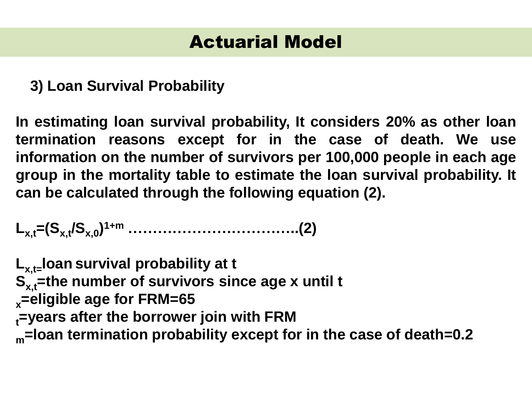**3) Loan Survival Probability**

**In estimating loan survival probability, It considers 20% as other loan termination reasons except for in the case of death. We use information on the number of survivors per 100,000 people in each age group in the mortality table to estimate the loan survival probability. It can be calculated through the following equation (2).**

**Lx,t=(Sx,t/Sx,0 ) 1+m ……………………………..(2)**

**Lx,t=loan survival probability at t S**<sub>x,t</sub>=the number of survivors since age x until t **<sup>x</sup>=eligible age for FRM=65 <sup>t</sup>=years after the borrower join with FRM <sup>m</sup>=loan termination probability except for in the case of death=0.2**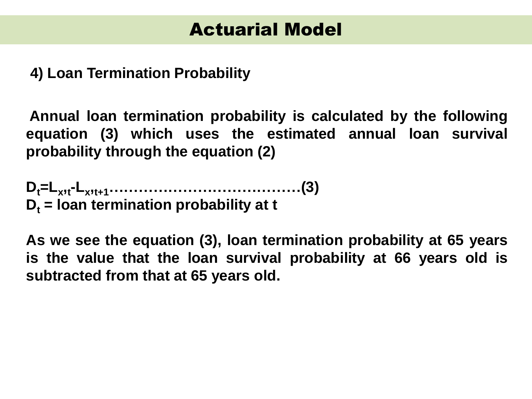**4) Loan Termination Probability**

**Annual loan termination probability is calculated by the following equation (3) which uses the estimated annual loan survival probability through the equation (2)**

**Dt=L<sup>x</sup> , t -L<sup>x</sup> , t+1…………………………………(3)**  $D_t$  = **loan termination probability** at **t** 

**As we see the equation (3), loan termination probability at 65 years is the value that the loan survival probability at 66 years old is subtracted from that at 65 years old.**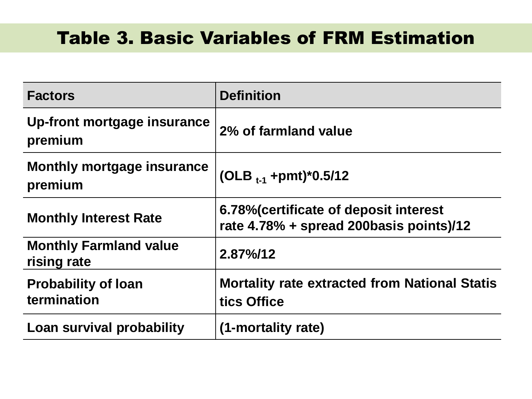# Table 3. Basic Variables of FRM Estimation

| <b>Factors</b>                               | <b>Definition</b>                                                                 |
|----------------------------------------------|-----------------------------------------------------------------------------------|
| Up-front mortgage insurance<br>premium       | 2% of farmland value                                                              |
| <b>Monthly mortgage insurance</b><br>premium | (OLB $_{t-1}$ +pmt)*0.5/12                                                        |
| <b>Monthly Interest Rate</b>                 | 6.78% (certificate of deposit interest<br>rate 4.78% + spread 200basis points)/12 |
| <b>Monthly Farmland value</b><br>rising rate | $2.87\%$ /12                                                                      |
| <b>Probability of loan</b><br>termination    | <b>Mortality rate extracted from National Statis</b><br>tics Office               |
| Loan survival probability                    | (1-mortality rate)                                                                |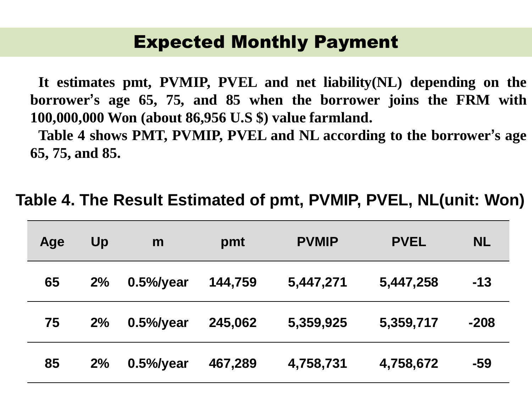### Expected Monthly Payment

**It estimates pmt, PVMIP, PVEL and net liability(NL) depending on the borrower's age 65, 75, and 85 when the borrower joins the FRM with 100,000,000 Won (about 86,956 U.S \$) value farmland.**

**Table 4 shows PMT, PVMIP, PVEL and NL according to the borrower's age 65, 75, and 85.**

| Age | Up | m             | pmt     | <b>PVMIP</b> | <b>PVEL</b> | <b>NL</b> |
|-----|----|---------------|---------|--------------|-------------|-----------|
| 65  | 2% | $0.5\%$ /year | 144,759 | 5,447,271    | 5,447,258   | $-13$     |
| 75  | 2% | $0.5\%$ /year | 245,062 | 5,359,925    | 5,359,717   | $-208$    |
| 85  | 2% | $0.5\%$ /year | 467,289 | 4,758,731    | 4,758,672   | -59       |

**Table 4. The Result Estimated of pmt, PVMIP, PVEL, NL(unit: Won)**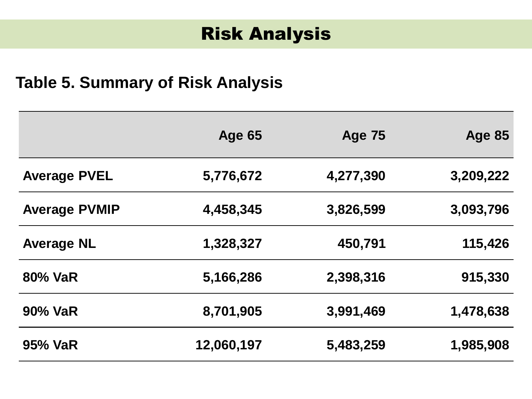## Risk Analysis

### **Table 5. Summary of Risk Analysis**

|                      | <b>Age 65</b> | <b>Age 75</b> | <b>Age 85</b> |
|----------------------|---------------|---------------|---------------|
| <b>Average PVEL</b>  | 5,776,672     | 4,277,390     | 3,209,222     |
| <b>Average PVMIP</b> | 4,458,345     | 3,826,599     | 3,093,796     |
| <b>Average NL</b>    | 1,328,327     | 450,791       | 115,426       |
| 80% VaR              | 5,166,286     | 2,398,316     | 915,330       |
| <b>90% VaR</b>       | 8,701,905     | 3,991,469     | 1,478,638     |
| 95% VaR              | 12,060,197    | 5,483,259     | 1,985,908     |